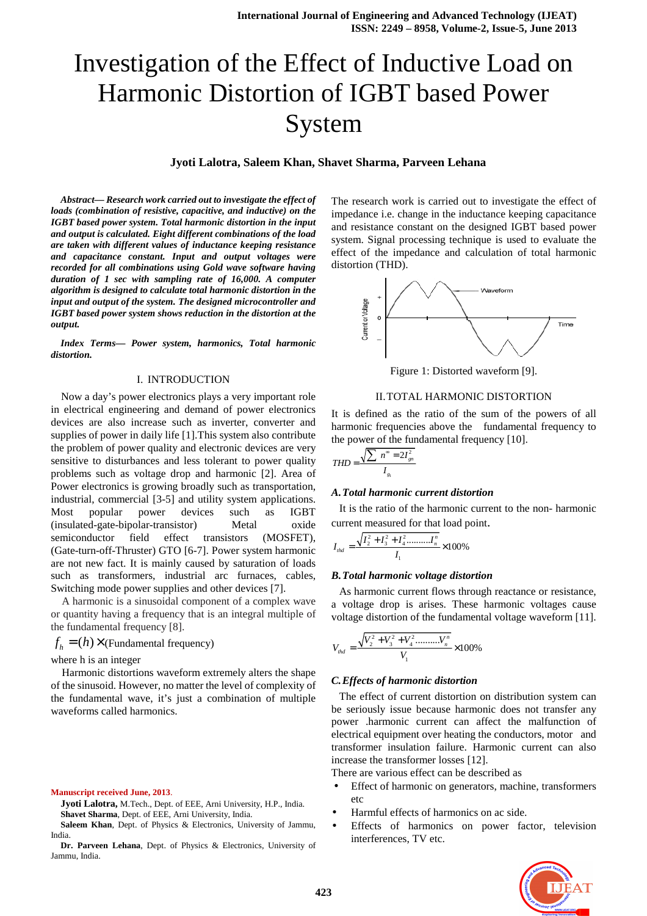# Investigation of the Effect of Inductive Load on Harmonic Distortion of IGBT based Power System

# **Jyoti Lalotra, Saleem Khan, Shavet Sharma, Parveen Lehana**

*Abstract— Research work carried out to investigate the effect of loads (combination of resistive, capacitive, and inductive) on the IGBT based power system. Total harmonic distortion in the input and output is calculated. Eight different combinations of the load are taken with different values of inductance keeping resistance and capacitance constant. Input and output voltages were recorded for all combinations using Gold wave software having duration of 1 sec with sampling rate of 16,000. A computer algorithm is designed to calculate total harmonic distortion in the input and output of the system. The designed microcontroller and IGBT based power system shows reduction in the distortion at the output.* 

*Index Terms— Power system, harmonics, Total harmonic distortion.* 

## I. INTRODUCTION

Now a day's power electronics plays a very important role in electrical engineering and demand of power electronics devices are also increase such as inverter, converter and supplies of power in daily life [1].This system also contribute the problem of power quality and electronic devices are very sensitive to disturbances and less tolerant to power quality problems such as voltage drop and harmonic [2]. Area of Power electronics is growing broadly such as transportation, industrial, commercial [3-5] and utility system applications. Most popular power devices such as IGBT (insulated-gate-bipolar-transistor) Metal oxide semiconductor field effect transistors (MOSFET), (Gate-turn-off-Thruster) GTO [6-7]. Power system harmonic are not new fact. It is mainly caused by saturation of loads such as transformers, industrial arc furnaces, cables, Switching mode power supplies and other devices [7].

A harmonic is a sinusoidal component of a complex wave or quantity having a frequency that is an integral multiple of the fundamental frequency [8].

 $f_h = (h) \times (Fundamental frequency)$ 

where h is an integer

Harmonic distortions waveform extremely alters the shape of the sinusoid. However, no matter the level of complexity of the fundamental wave, it's just a combination of multiple waveforms called harmonics.

**Manuscript received June, 2013**.

**Jyoti Lalotra,** M.Tech., Dept. of EEE, Arni University, H.P., India. **Shavet Sharma**, Dept. of EEE, Arni University, India.

**Saleem Khan**, Dept. of Physics & Electronics, University of Jammu, India.

**Dr. Parveen Lehana**, Dept. of Physics & Electronics, University of Jammu, India.

The research work is carried out to investigate the effect of impedance i.e. change in the inductance keeping capacitance and resistance constant on the designed IGBT based power system. Signal processing technique is used to evaluate the effect of the impedance and calculation of total harmonic distortion (THD).



Figure 1: Distorted waveform [9].

#### II.TOTAL HARMONIC DISTORTION

It is defined as the ratio of the sum of the powers of all harmonic frequencies above the fundamental frequency to the power of the fundamental frequency [10].

$$
THD = \frac{\sqrt{\sum n^{\infty} = 2I_{gn}^2}}{I_{g_i}}
$$

# *A.Total harmonic current distortion*

It is the ratio of the harmonic current to the non- harmonic current measured for that load point.

$$
I_{\text{thd}} = \frac{\sqrt{I_2^2 + I_3^2 + I_4^2 + \dots + I_n^2}}{I_1} \times 100\%
$$

#### *B.Total harmonic voltage distortion*

As harmonic current flows through reactance or resistance, a voltage drop is arises. These harmonic voltages cause voltage distortion of the fundamental voltage waveform [11].

$$
V_{\text{thd}} = \frac{\sqrt{V_2^2 + V_3^2 + V_4^2 \dots \dots V_n^n}}{V_1} \times 100\%
$$

#### *C.Effects of harmonic distortion*

The effect of current distortion on distribution system can be seriously issue because harmonic does not transfer any power .harmonic current can affect the malfunction of electrical equipment over heating the conductors, motor and transformer insulation failure. Harmonic current can also increase the transformer losses [12].

There are various effect can be described as

- Effect of harmonic on generators, machine, transformers etc
- Harmful effects of harmonics on ac side.
- Effects of harmonics on power factor, television interferences, TV etc.

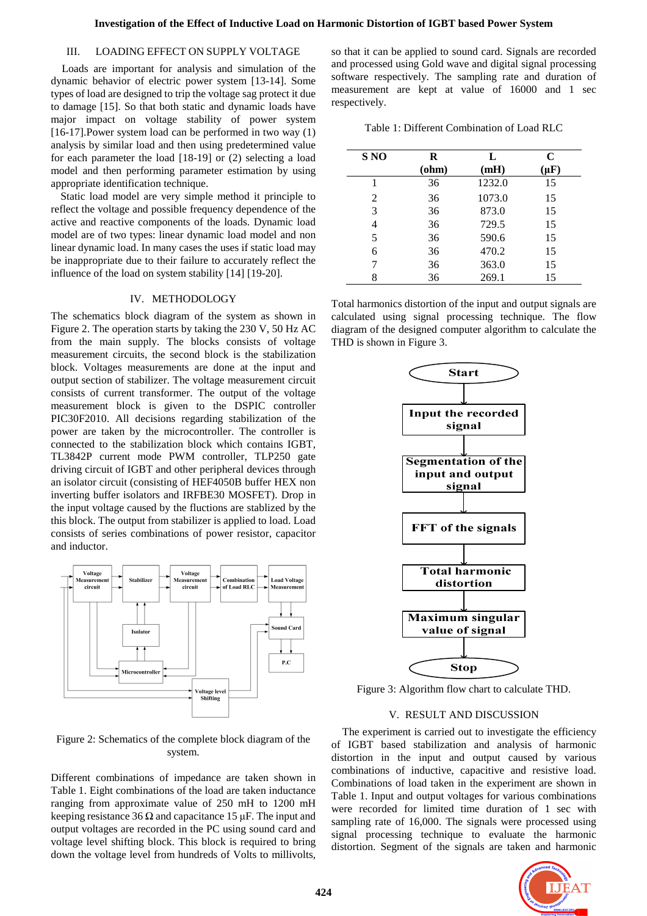### III. LOADING EFFECT ON SUPPLY VOLTAGE

 Loads are important for analysis and simulation of the dynamic behavior of electric power system [13-14]. Some types of load are designed to trip the voltage sag protect it due to damage [15]. So that both static and dynamic loads have major impact on voltage stability of power system [16-17].Power system load can be performed in two way (1) analysis by similar load and then using predetermined value for each parameter the load [18-19] or (2) selecting a load model and then performing parameter estimation by using appropriate identification technique.

 Static load model are very simple method it principle to reflect the voltage and possible frequency dependence of the active and reactive components of the loads. Dynamic load model are of two types: linear dynamic load model and non linear dynamic load. In many cases the uses if static load may be inappropriate due to their failure to accurately reflect the influence of the load on system stability [14] [19-20].

#### IV. METHODOLOGY

The schematics block diagram of the system as shown in Figure 2. The operation starts by taking the 230 V, 50 Hz AC from the main supply. The blocks consists of voltage measurement circuits, the second block is the stabilization block. Voltages measurements are done at the input and output section of stabilizer. The voltage measurement circuit consists of current transformer. The output of the voltage measurement block is given to the DSPIC controller PIC30F2010. All decisions regarding stabilization of the power are taken by the microcontroller. The controller is connected to the stabilization block which contains IGBT, TL3842P current mode PWM controller, TLP250 gate driving circuit of IGBT and other peripheral devices through an isolator circuit (consisting of HEF4050B buffer HEX non inverting buffer isolators and IRFBE30 MOSFET). Drop in the input voltage caused by the fluctions are stablized by the this block. The output from stabilizer is applied to load. Load consists of series combinations of power resistor, capacitor and inductor.



Figure 2: Schematics of the complete block diagram of the system.

Different combinations of impedance are taken shown in Table 1. Eight combinations of the load are taken inductance ranging from approximate value of 250 mH to 1200 mH keeping resistance 36  $\Omega$  and capacitance 15 µF. The input and output voltages are recorded in the PC using sound card and voltage level shifting block. This block is required to bring down the voltage level from hundreds of Volts to millivolts, so that it can be applied to sound card. Signals are recorded and processed using Gold wave and digital signal processing software respectively. The sampling rate and duration of measurement are kept at value of 16000 and 1 sec respectively.

Table 1: Different Combination of Load RLC

| S NO | R     | L      | $\mathbf C$ |
|------|-------|--------|-------------|
|      | $ohm$ | (mH)   | $(\mu F)$   |
|      | 36    | 1232.0 | 15          |
| 2    | 36    | 1073.0 | 15          |
| 3    | 36    | 873.0  | 15          |
| 4    | 36    | 729.5  | 15          |
| 5    | 36    | 590.6  | 15          |
| 6    | 36    | 470.2  | 15          |
| 7    | 36    | 363.0  | 15          |
| 8    | 36    | 269.1  | 15          |

Total harmonics distortion of the input and output signals are calculated using signal processing technique. The flow diagram of the designed computer algorithm to calculate the THD is shown in Figure 3.



Figure 3: Algorithm flow chart to calculate THD.

## V. RESULT AND DISCUSSION

The experiment is carried out to investigate the efficiency of IGBT based stabilization and analysis of harmonic distortion in the input and output caused by various combinations of inductive, capacitive and resistive load. Combinations of load taken in the experiment are shown in Table 1. Input and output voltages for various combinations were recorded for limited time duration of 1 sec with sampling rate of 16,000. The signals were processed using signal processing technique to evaluate the harmonic distortion. Segment of the signals are taken and harmonic

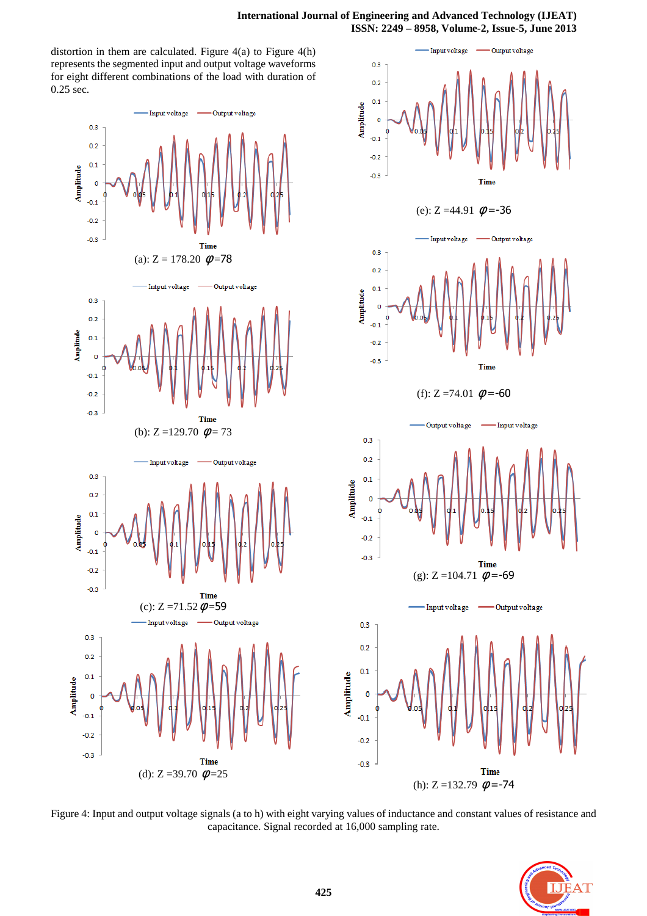$0.3$ 

- Input voltage

Output voltage

distortion in them are calculated. Figure  $4(a)$  to Figure  $4(h)$ represents the segmented input and output voltage waveforms for eight different combinations of the load with duration of 0.25 sec.



 $0.2$  $0.1$ Amplitude  $\overline{\mathbf{0}}$  $-0.1$  $-0.2$  $-0.3$ Time (e):  $Z = 44.91 \phi = -36$ utput voltage Input  $0.3$  $0.2$  $0.1$  $\overline{0}$  $-0.1$  $-0.2$  $-0.3$ Time (f):  $Z = 74.01 \phi = -60$ Output voltage Input voltage  $0.3$  $0.2$  $0.1$  $\mathbf 0$  $-0.1$  $-0.2$  $-0.3$ **Time** (g):  $Z = 104.71$   $\phi = -69$ Input voltage Output voltage  $\circ$ **Time** (h):  $Z = 132.79$   $\phi = -74$ 

Figure 4: Input and output voltage signals (a to h) with eight varying values of inductance and constant values of resistance and capacitance. Signal recorded at 16,000 sampling rate.